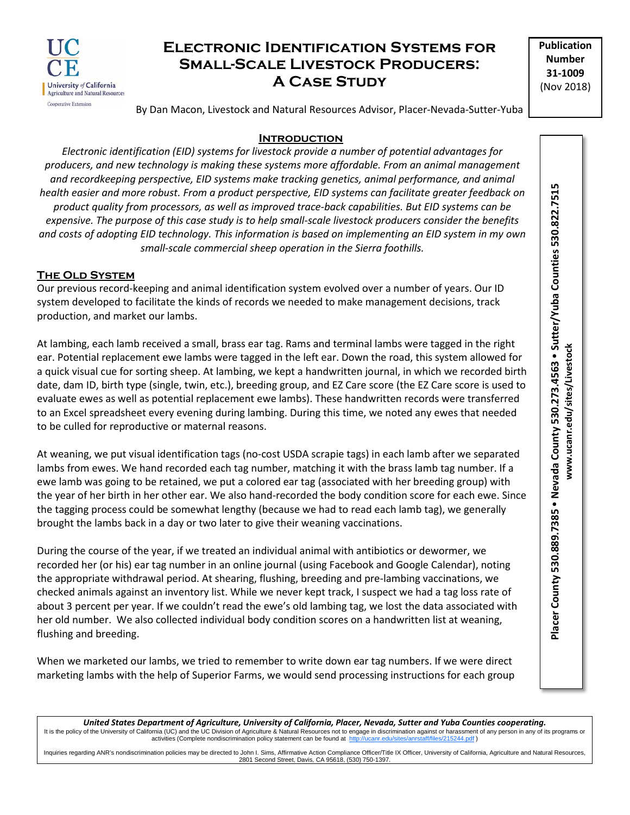

# **Electronic Identification Systems for Small-Scale Livestock Producers: A Case Study**

**Publication Number 31-1009** (Nov 2018)

By Dan Macon, Livestock and Natural Resources Advisor, Placer-Nevada-Sutter-Yuba

### **Introduction**

*Electronic identification (EID) systems for livestock provide a number of potential advantages for producers, and new technology is making these systems more affordable. From an animal management and recordkeeping perspective, EID systems make tracking genetics, animal performance, and animal health easier and more robust. From a product perspective, EID systems can facilitate greater feedback on product quality from processors, as well as improved trace-back capabilities. But EID systems can be expensive. The purpose of this case study is to help small-scale livestock producers consider the benefits and costs of adopting EID technology. This information is based on implementing an EID system in my own small-scale commercial sheep operation in the Sierra foothills.*

### **The Old System**

Our previous record-keeping and animal identification system evolved over a number of years. Our ID system developed to facilitate the kinds of records we needed to make management decisions, track production, and market our lambs.

At lambing, each lamb received a small, brass ear tag. Rams and terminal lambs were tagged in the right ear. Potential replacement ewe lambs were tagged in the left ear. Down the road, this system allowed for a quick visual cue for sorting sheep. At lambing, we kept a handwritten journal, in which we recorded birth date, dam ID, birth type (single, twin, etc.), breeding group, and EZ Care score (the EZ Care score is used to evaluate ewes as well as potential replacement ewe lambs). These handwritten records were transferred to an Excel spreadsheet every evening during lambing. During this time, we noted any ewes that needed to be culled for reproductive or maternal reasons.

At weaning, we put visual identification tags (no-cost USDA scrapie tags) in each lamb after we separated lambs from ewes. We hand recorded each tag number, matching it with the brass lamb tag number. If a ewe lamb was going to be retained, we put a colored ear tag (associated with her breeding group) with the year of her birth in her other ear. We also hand-recorded the body condition score for each ewe. Since the tagging process could be somewhat lengthy (because we had to read each lamb tag), we generally brought the lambs back in a day or two later to give their weaning vaccinations.

During the course of the year, if we treated an individual animal with antibiotics or dewormer, we recorded her (or his) ear tag number in an online journal (using Facebook and Google Calendar), noting the appropriate withdrawal period. At shearing, flushing, breeding and pre-lambing vaccinations, we checked animals against an inventory list. While we never kept track, I suspect we had a tag loss rate of about 3 percent per year. If we couldn't read the ewe's old lambing tag, we lost the data associated with her old number. We also collected individual body condition scores on a handwritten list at weaning, flushing and breeding.

When we marketed our lambs, we tried to remember to write down ear tag numbers. If we were direct marketing lambs with the help of Superior Farms, we would send processing instructions for each group Placer County 530.889.7385 . Nevada County 530.273.4563 . Sutter/Yuba Counties 530.822.7515 **Placer County 530.889.7385 Nevada County 530.273.4563 Sutter/Yuba Counties 530.822.7515** www.ucanr.edu/sites/Livestock **www.ucanr.edu/sites/Livestock**

*United States Department of Agriculture, University of California, Placer, Nevada, Sutter and Yuba Counties cooperating.* It is the policy of the University of California (UC) and the UC Division of Agriculture & Natural Resources not to engage in discrimination against or harassment of any person in any of its programs or activities (Complet activities (Complete nondiscrimination policy statement can be found at http://

Inquiries regarding ANR's nondiscrimination policies may be directed to John I. Sims, Affirmative Action Compliance Officer/Title IX Officer, University of California, Agriculture and Natural Resources, 2801 Second Street, Davis, CA 95618, (530) 750-1397.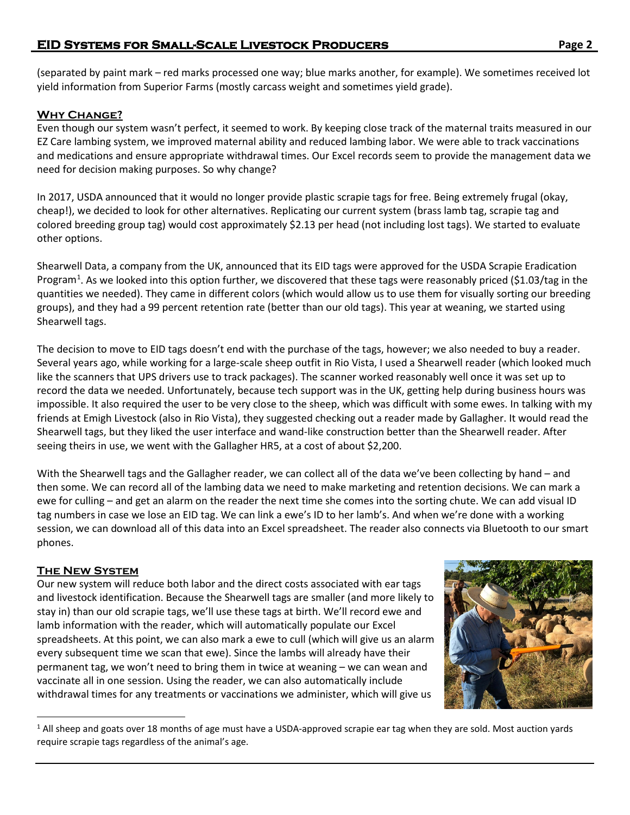(separated by paint mark – red marks processed one way; blue marks another, for example). We sometimes received lot yield information from Superior Farms (mostly carcass weight and sometimes yield grade).

# **Why Change?**

Even though our system wasn't perfect, it seemed to work. By keeping close track of the maternal traits measured in our EZ Care lambing system, we improved maternal ability and reduced lambing labor. We were able to track vaccinations and medications and ensure appropriate withdrawal times. Our Excel records seem to provide the management data we need for decision making purposes. So why change?

In 2017, USDA announced that it would no longer provide plastic scrapie tags for free. Being extremely frugal (okay, cheap!), we decided to look for other alternatives. Replicating our current system (brass lamb tag, scrapie tag and colored breeding group tag) would cost approximately \$2.13 per head (not including lost tags). We started to evaluate other options.

Shearwell Data, a company from the UK, announced that its EID tags were approved for the USDA Scrapie Eradication Program<sup>[1](#page-1-0)</sup>. As we looked into this option further, we discovered that these tags were reasonably priced (\$1.03/tag in the quantities we needed). They came in different colors (which would allow us to use them for visually sorting our breeding groups), and they had a 99 percent retention rate (better than our old tags). This year at weaning, we started using Shearwell tags.

The decision to move to EID tags doesn't end with the purchase of the tags, however; we also needed to buy a reader. Several years ago, while working for a large-scale sheep outfit in Rio Vista, I used a Shearwell reader (which looked much like the scanners that UPS drivers use to track packages). The scanner worked reasonably well once it was set up to record the data we needed. Unfortunately, because tech support was in the UK, getting help during business hours was impossible. It also required the user to be very close to the sheep, which was difficult with some ewes. In talking with my friends at Emigh Livestock (also in Rio Vista), they suggested checking out a reader made by Gallagher. It would read the Shearwell tags, but they liked the user interface and wand-like construction better than the Shearwell reader. After seeing theirs in use, we went with the Gallagher HR5, at a cost of about \$2,200.

With the Shearwell tags and the Gallagher reader, we can collect all of the data we've been collecting by hand – and then some. We can record all of the lambing data we need to make marketing and retention decisions. We can mark a ewe for culling – and get an alarm on the reader the next time she comes into the sorting chute. We can add visual ID tag numbers in case we lose an EID tag. We can link a ewe's ID to her lamb's. And when we're done with a working session, we can download all of this data into an Excel spreadsheet. The reader also connects via Bluetooth to our smart phones.

## **The New System**

<span id="page-1-0"></span>Our new system will reduce both labor and the direct costs associated with ear tags and livestock identification. Because the Shearwell tags are smaller (and more likely to stay in) than our old scrapie tags, we'll use these tags at birth. We'll record ewe and lamb information with the reader, which will automatically populate our Excel spreadsheets. At this point, we can also mark a ewe to cull (which will give us an alarm every subsequent time we scan that ewe). Since the lambs will already have their permanent tag, we won't need to bring them in twice at weaning – we can wean and vaccinate all in one session. Using the reader, we can also automatically include withdrawal times for any treatments or vaccinations we administer, which will give us



<sup>&</sup>lt;sup>1</sup> All sheep and goats over 18 months of age must have a USDA-approved scrapie ear tag when they are sold. Most auction yards require scrapie tags regardless of the animal's age.